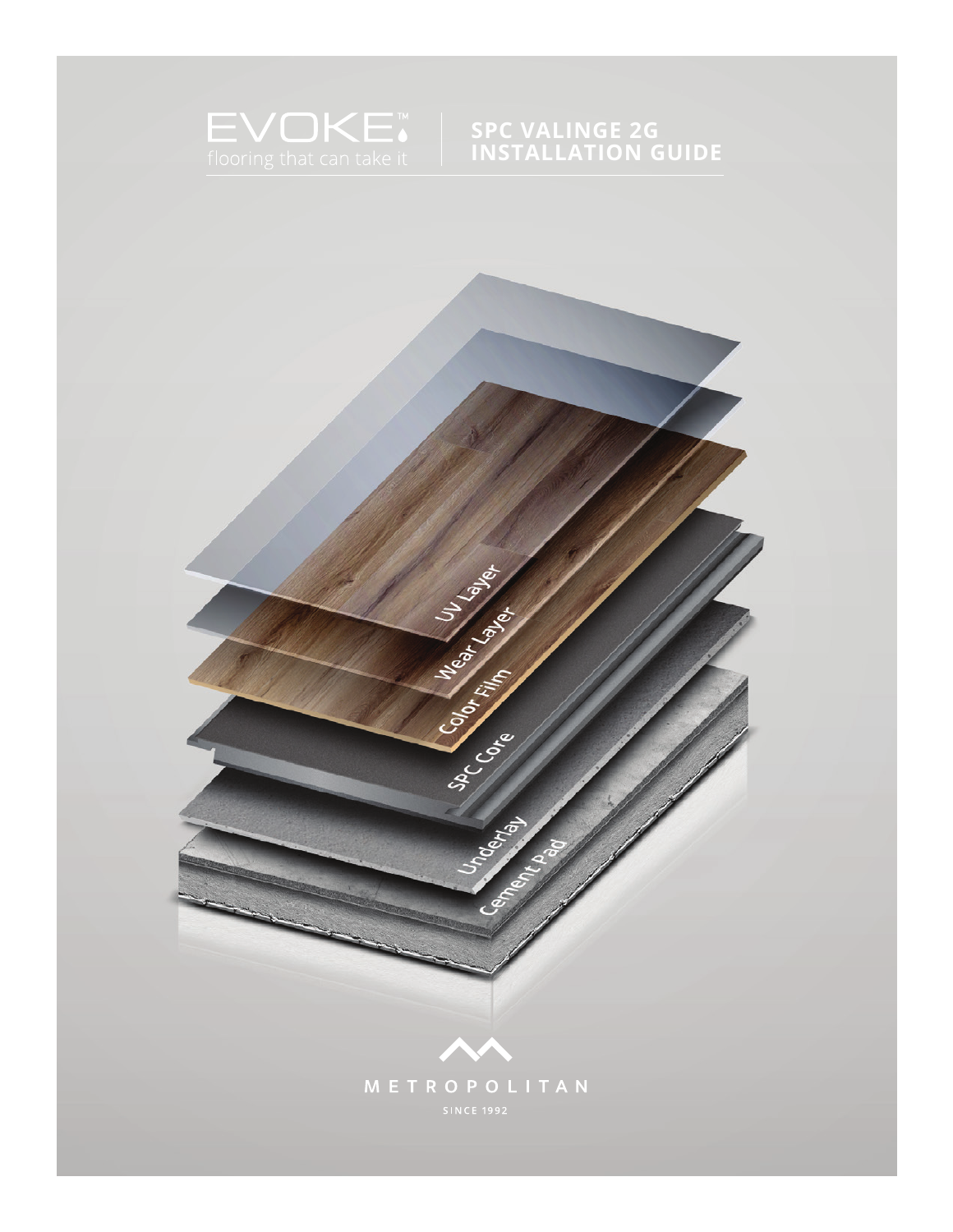

## **SPC VALINGE 2G INSTALLATION GUIDE**

1<br>1TERRACE INSTALLATION GUIDE - 00164<br>1TERRACE - 00164 | 10.2021

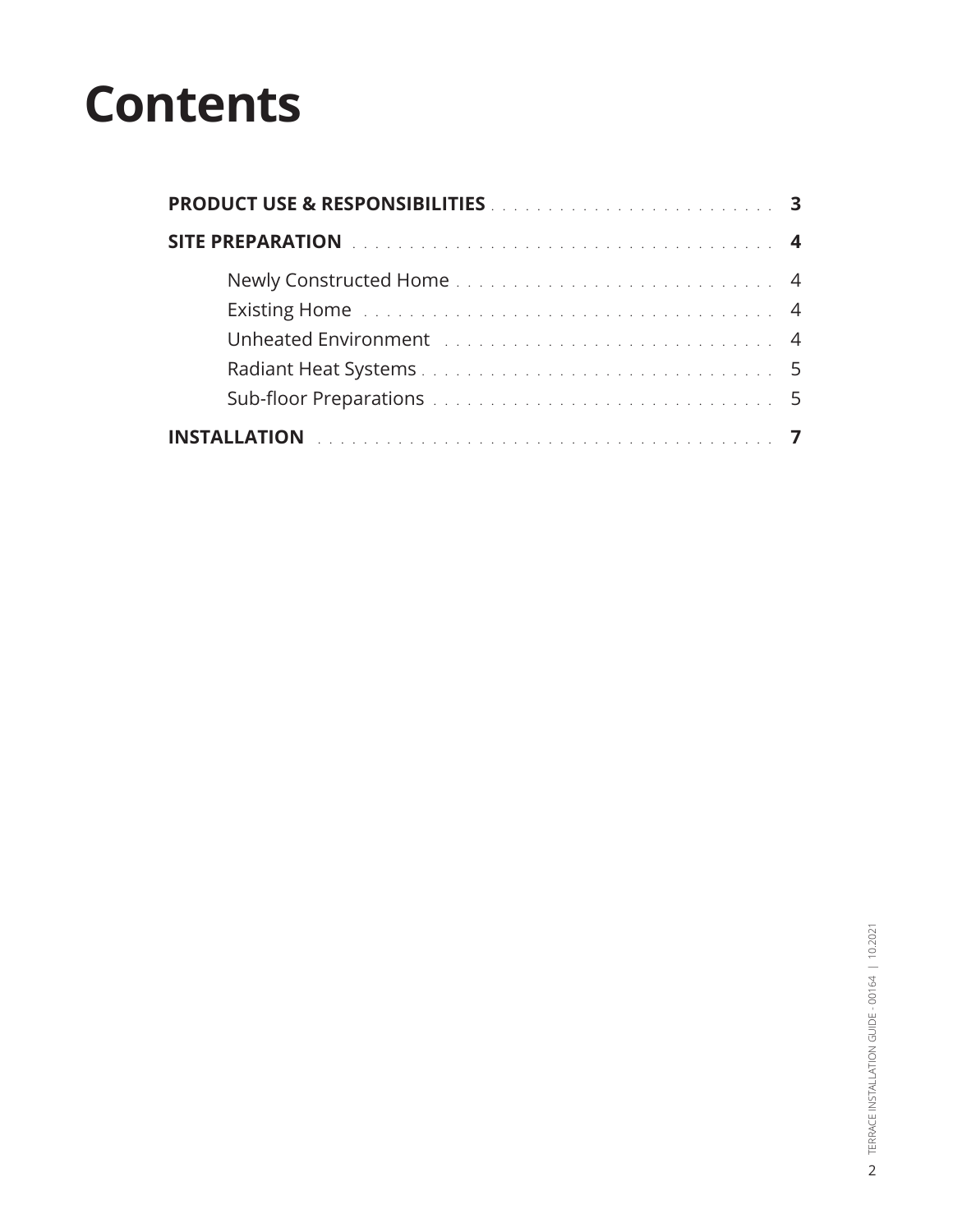# **Contents**

| <b>PRODUCT USE &amp; RESPONSIBILITIES Entertainment and STATE STATE In the STATE STATE In the STATE In the STATE In the STATE In the STATE In the STATE In the STATE In the STATE In the STATE In the STATE In the STATE In the ST</b> |  |
|----------------------------------------------------------------------------------------------------------------------------------------------------------------------------------------------------------------------------------------|--|
| SITE PREPARATION <b>Experience in the contract of the PREPARATION</b>                                                                                                                                                                  |  |
|                                                                                                                                                                                                                                        |  |
| Existing Home The Community Contract of the Community Community Community Community Community Community Commun                                                                                                                         |  |
| Unheated Environment Indiana Processor and Process and Property A                                                                                                                                                                      |  |
|                                                                                                                                                                                                                                        |  |
|                                                                                                                                                                                                                                        |  |
|                                                                                                                                                                                                                                        |  |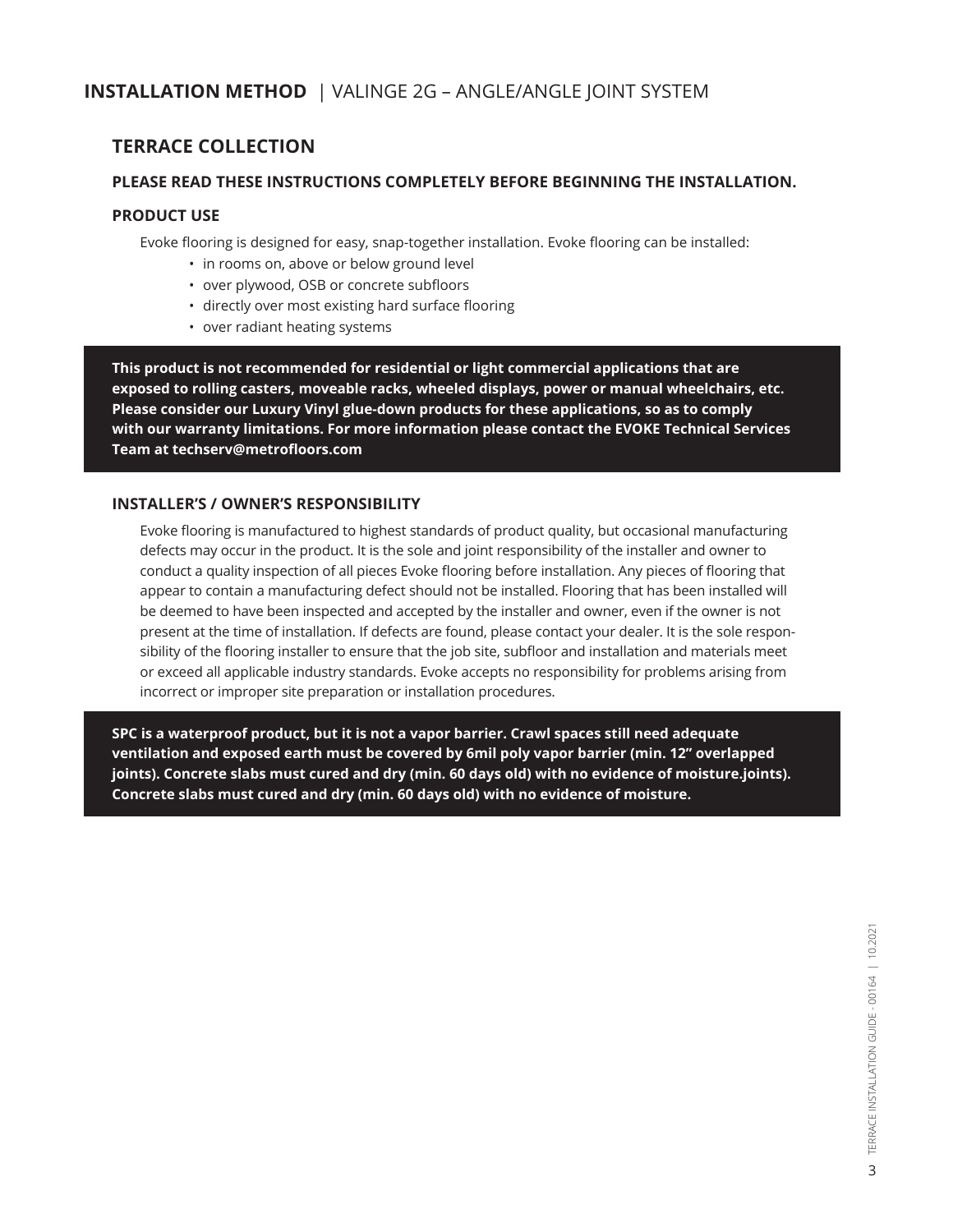## **INSTALLATION METHOD** | VALINGE 2G – ANGLE/ANGLE JOINT SYSTEM

## **TERRACE COLLECTION**

#### **PLEASE READ THESE INSTRUCTIONS COMPLETELY BEFORE BEGINNING THE INSTALLATION.**

#### **PRODUCT USE**

Evoke flooring is designed for easy, snap-together installation. Evoke flooring can be installed:

- in rooms on, above or below ground level
- over plywood, OSB or concrete subfloors
- directly over most existing hard surface flooring
- over radiant heating systems

**This product is not recommended for residential or light commercial applications that are exposed to rolling casters, moveable racks, wheeled displays, power or manual wheelchairs, etc. Please consider our Luxury Vinyl glue-down products for these applications, so as to comply with our warranty limitations. For more information please contact the EVOKE Technical Services Team at techserv@metrofloors.com**

#### **INSTALLER'S / OWNER'S RESPONSIBILITY**

Evoke flooring is manufactured to highest standards of product quality, but occasional manufacturing defects may occur in the product. It is the sole and joint responsibility of the installer and owner to conduct a quality inspection of all pieces Evoke flooring before installation. Any pieces of flooring that appear to contain a manufacturing defect should not be installed. Flooring that has been installed will be deemed to have been inspected and accepted by the installer and owner, even if the owner is not present at the time of installation. If defects are found, please contact your dealer. It is the sole responsibility of the flooring installer to ensure that the job site, subfloor and installation and materials meet or exceed all applicable industry standards. Evoke accepts no responsibility for problems arising from incorrect or improper site preparation or installation procedures.

**SPC is a waterproof product, but it is not a vapor barrier. Crawl spaces still need adequate ventilation and exposed earth must be covered by 6mil poly vapor barrier (min. 12" overlapped joints). Concrete slabs must cured and dry (min. 60 days old) with no evidence of moisture.joints). Concrete slabs must cured and dry (min. 60 days old) with no evidence of moisture.**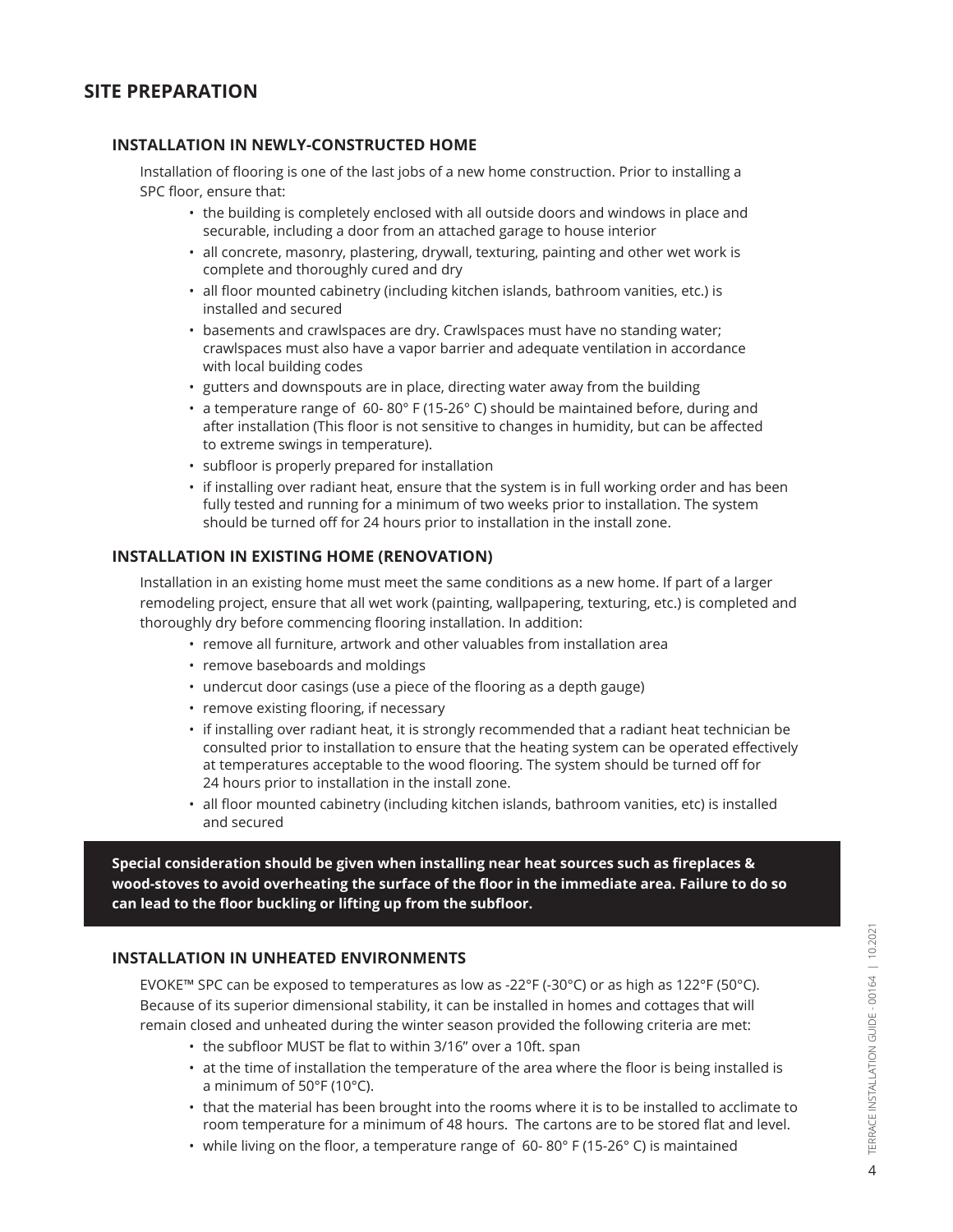## **SITE PREPARATION**

#### **INSTALLATION IN NEWLY-CONSTRUCTED HOME**

Installation of flooring is one of the last jobs of a new home construction. Prior to installing a SPC floor, ensure that:

- the building is completely enclosed with all outside doors and windows in place and securable, including a door from an attached garage to house interior
- all concrete, masonry, plastering, drywall, texturing, painting and other wet work is complete and thoroughly cured and dry
- all floor mounted cabinetry (including kitchen islands, bathroom vanities, etc.) is installed and secured
- basements and crawlspaces are dry. Crawlspaces must have no standing water; crawlspaces must also have a vapor barrier and adequate ventilation in accordance with local building codes
- gutters and downspouts are in place, directing water away from the building
- a temperature range of 60- 80° F (15-26° C) should be maintained before, during and after installation (This floor is not sensitive to changes in humidity, but can be affected to extreme swings in temperature).
- subfloor is properly prepared for installation
- if installing over radiant heat, ensure that the system is in full working order and has been fully tested and running for a minimum of two weeks prior to installation. The system should be turned off for 24 hours prior to installation in the install zone.

#### **INSTALLATION IN EXISTING HOME (RENOVATION)**

Installation in an existing home must meet the same conditions as a new home. If part of a larger remodeling project, ensure that all wet work (painting, wallpapering, texturing, etc.) is completed and thoroughly dry before commencing flooring installation. In addition:

- remove all furniture, artwork and other valuables from installation area
- remove baseboards and moldings
- undercut door casings (use a piece of the flooring as a depth gauge)
- remove existing flooring, if necessary
- if installing over radiant heat, it is strongly recommended that a radiant heat technician be consulted prior to installation to ensure that the heating system can be operated effectively at temperatures acceptable to the wood flooring. The system should be turned off for 24 hours prior to installation in the install zone.
- all floor mounted cabinetry (including kitchen islands, bathroom vanities, etc) is installed and secured

**Special consideration should be given when installing near heat sources such as fireplaces & wood-stoves to avoid overheating the surface of the floor in the immediate area. Failure to do so can lead to the floor buckling or lifting up from the subfloor.**

#### **INSTALLATION IN UNHEATED ENVIRONMENTS**

EVOKE™ SPC can be exposed to temperatures as low as -22°F (-30°C) or as high as 122°F (50°C). Because of its superior dimensional stability, it can be installed in homes and cottages that will remain closed and unheated during the winter season provided the following criteria are met:

- the subfloor MUST be flat to within 3/16" over a 10ft. span
- at the time of installation the temperature of the area where the floor is being installed is a minimum of 50°F (10°C).
- that the material has been brought into the rooms where it is to be installed to acclimate to room temperature for a minimum of 48 hours. The cartons are to be stored flat and level.
- while living on the floor, a temperature range of  $60-80°$  F (15-26° C) is maintained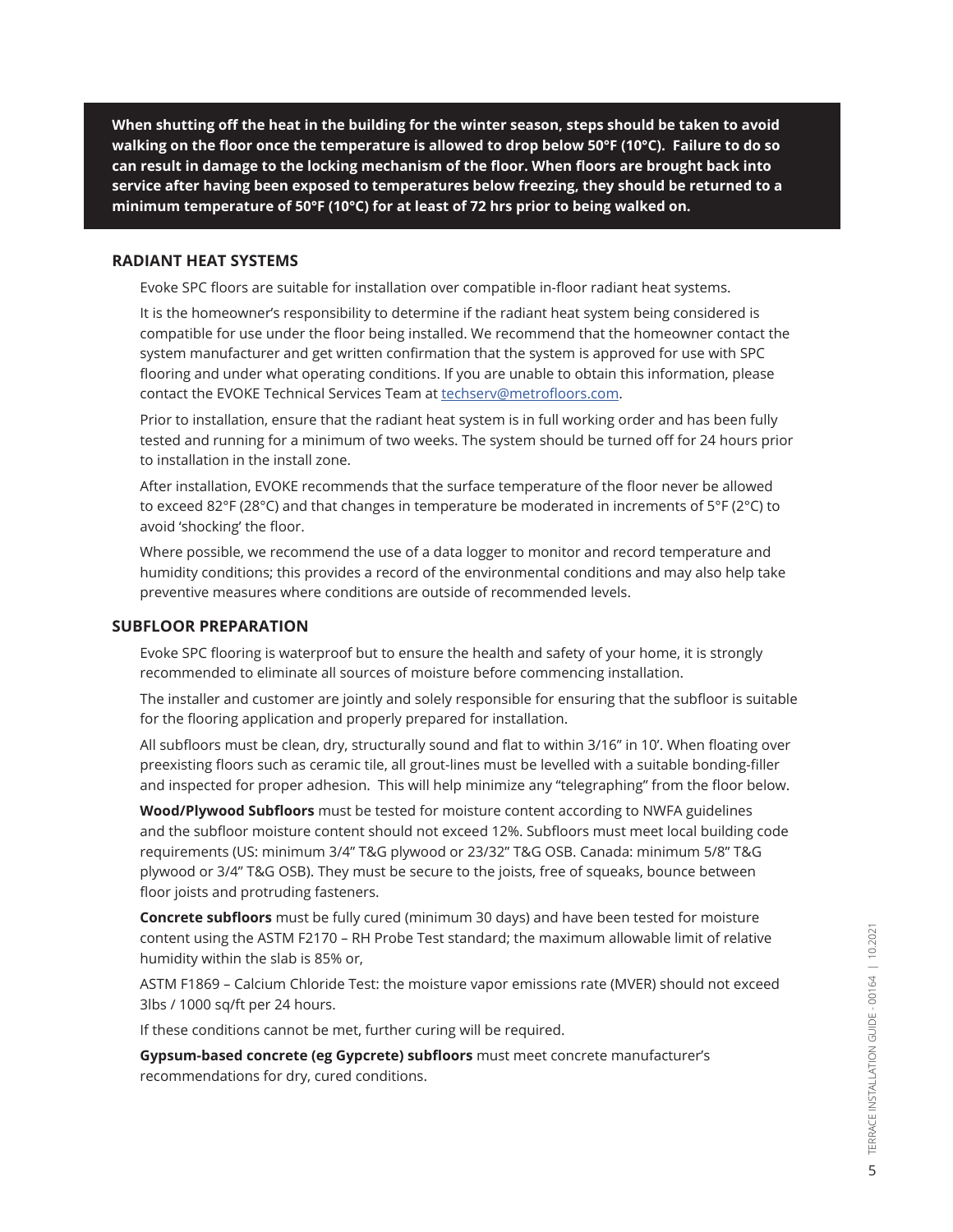**When shutting off the heat in the building for the winter season, steps should be taken to avoid walking on the floor once the temperature is allowed to drop below 50°F (10°C). Failure to do so can result in damage to the locking mechanism of the floor. When floors are brought back into service after having been exposed to temperatures below freezing, they should be returned to a minimum temperature of 50°F (10°C) for at least of 72 hrs prior to being walked on.**

#### **RADIANT HEAT SYSTEMS**

Evoke SPC floors are suitable for installation over compatible in-floor radiant heat systems.

It is the homeowner's responsibility to determine if the radiant heat system being considered is compatible for use under the floor being installed. We recommend that the homeowner contact the system manufacturer and get written confirmation that the system is approved for use with SPC flooring and under what operating conditions. If you are unable to obtain this information, please contact the EVOKE Technical Services Team at techserv@metrofloors.com.

Prior to installation, ensure that the radiant heat system is in full working order and has been fully tested and running for a minimum of two weeks. The system should be turned off for 24 hours prior to installation in the install zone.

After installation, EVOKE recommends that the surface temperature of the floor never be allowed to exceed 82°F (28°C) and that changes in temperature be moderated in increments of 5°F (2°C) to avoid 'shocking' the floor.

Where possible, we recommend the use of a data logger to monitor and record temperature and humidity conditions; this provides a record of the environmental conditions and may also help take preventive measures where conditions are outside of recommended levels.

#### **SUBFLOOR PREPARATION**

Evoke SPC flooring is waterproof but to ensure the health and safety of your home, it is strongly recommended to eliminate all sources of moisture before commencing installation.

The installer and customer are jointly and solely responsible for ensuring that the subfloor is suitable for the flooring application and properly prepared for installation.

All subfloors must be clean, dry, structurally sound and flat to within 3/16" in 10'. When floating over preexisting floors such as ceramic tile, all grout-lines must be levelled with a suitable bonding-filler and inspected for proper adhesion. This will help minimize any "telegraphing" from the floor below.

**Wood/Plywood Subfloors** must be tested for moisture content according to NWFA guidelines and the subfloor moisture content should not exceed 12%. Subfloors must meet local building code requirements (US: minimum 3/4" T&G plywood or 23/32" T&G OSB. Canada: minimum 5/8" T&G plywood or 3/4" T&G OSB). They must be secure to the joists, free of squeaks, bounce between floor joists and protruding fasteners.

**Concrete subfloors** must be fully cured (minimum 30 days) and have been tested for moisture content using the ASTM F2170 – RH Probe Test standard; the maximum allowable limit of relative humidity within the slab is 85% or,

ASTM F1869 – Calcium Chloride Test: the moisture vapor emissions rate (MVER) should not exceed 3lbs / 1000 sq/ft per 24 hours.

If these conditions cannot be met, further curing will be required.

**Gypsum-based concrete (eg Gypcrete) subfloors** must meet concrete manufacturer's recommendations for dry, cured conditions.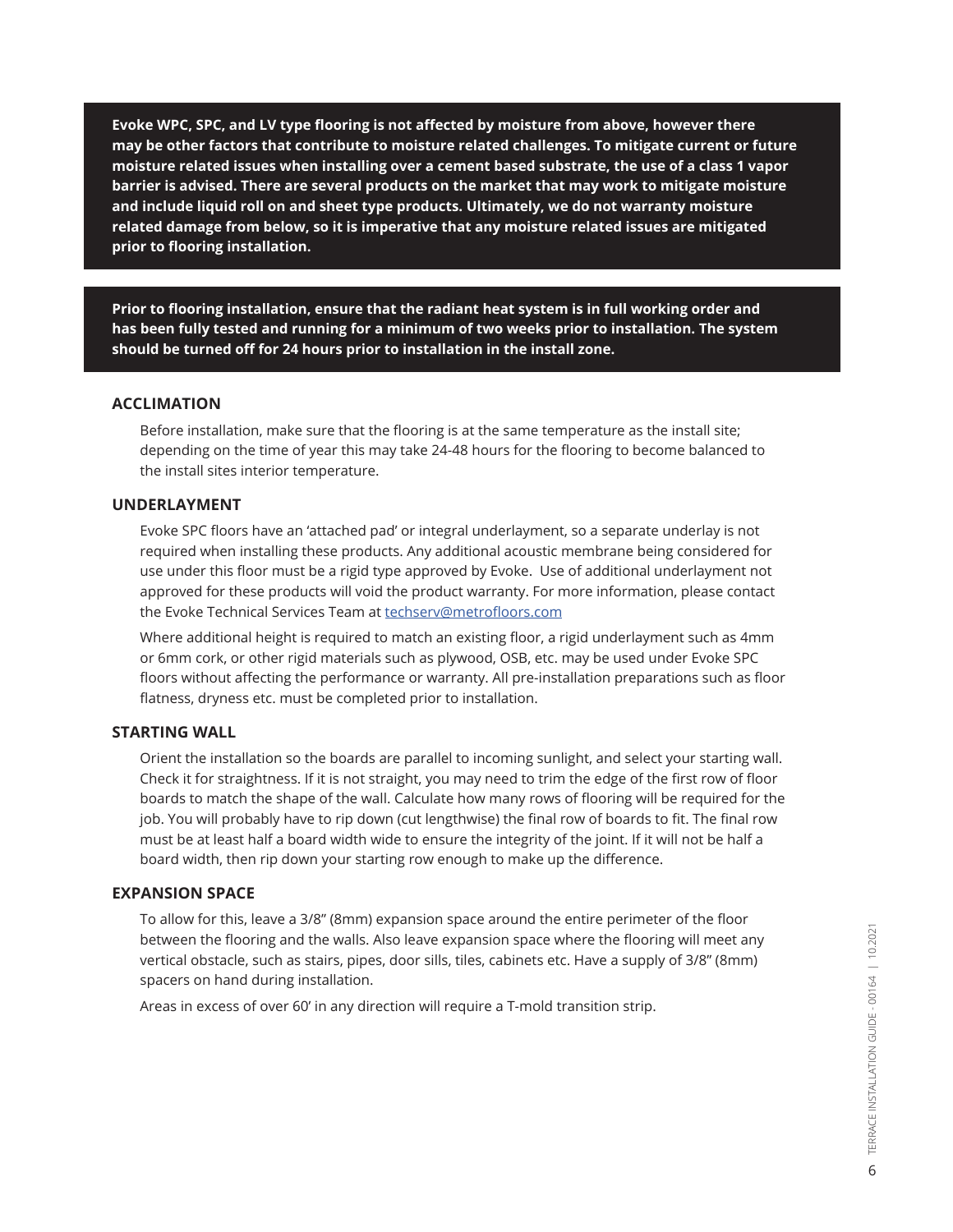**Evoke WPC, SPC, and LV type flooring is not affected by moisture from above, however there may be other factors that contribute to moisture related challenges. To mitigate current or future moisture related issues when installing over a cement based substrate, the use of a class 1 vapor barrier is advised. There are several products on the market that may work to mitigate moisture and include liquid roll on and sheet type products. Ultimately, we do not warranty moisture related damage from below, so it is imperative that any moisture related issues are mitigated prior to flooring installation.**

**Prior to flooring installation, ensure that the radiant heat system is in full working order and has been fully tested and running for a minimum of two weeks prior to installation. The system should be turned off for 24 hours prior to installation in the install zone.**

#### **ACCLIMATION**

Before installation, make sure that the flooring is at the same temperature as the install site; depending on the time of year this may take 24-48 hours for the flooring to become balanced to the install sites interior temperature.

#### **UNDERLAYMENT**

Evoke SPC floors have an 'attached pad' or integral underlayment, so a separate underlay is not required when installing these products. Any additional acoustic membrane being considered for use under this floor must be a rigid type approved by Evoke. Use of additional underlayment not approved for these products will void the product warranty. For more information, please contact the Evoke Technical Services Team at techserv@metrofloors.com

Where additional height is required to match an existing floor, a rigid underlayment such as 4mm or 6mm cork, or other rigid materials such as plywood, OSB, etc. may be used under Evoke SPC floors without affecting the performance or warranty. All pre-installation preparations such as floor flatness, dryness etc. must be completed prior to installation.

#### **STARTING WALL**

Orient the installation so the boards are parallel to incoming sunlight, and select your starting wall. Check it for straightness. If it is not straight, you may need to trim the edge of the first row of floor boards to match the shape of the wall. Calculate how many rows of flooring will be required for the job. You will probably have to rip down (cut lengthwise) the final row of boards to fit. The final row must be at least half a board width wide to ensure the integrity of the joint. If it will not be half a board width, then rip down your starting row enough to make up the difference.

#### **EXPANSION SPACE**

To allow for this, leave a 3/8" (8mm) expansion space around the entire perimeter of the floor between the flooring and the walls. Also leave expansion space where the flooring will meet any vertical obstacle, such as stairs, pipes, door sills, tiles, cabinets etc. Have a supply of 3/8" (8mm) spacers on hand during installation.

Areas in excess of over 60' in any direction will require a T-mold transition strip.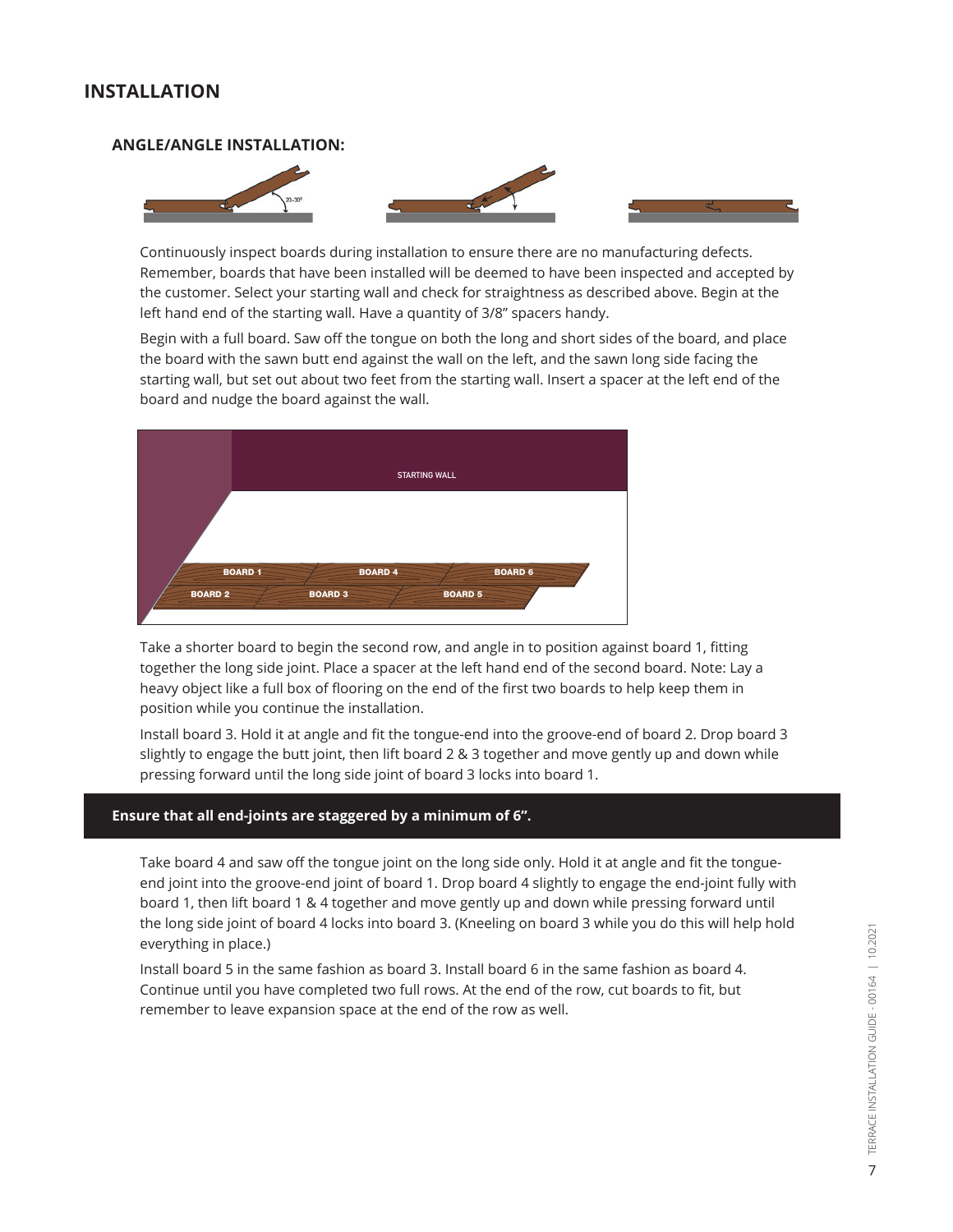## **INSTALLATION**

#### **ANGLE/ANGLE INSTALLATION:**



Continuously inspect boards during installation to ensure there are no manufacturing defects. Remember, boards that have been installed will be deemed to have been inspected and accepted by the customer. Select your starting wall and check for straightness as described above. Begin at the left hand end of the starting wall. Have a quantity of 3/8" spacers handy.

Begin with a full board. Saw off the tongue on both the long and short sides of the board, and place the board with the sawn butt end against the wall on the left, and the sawn long side facing the starting wall, but set out about two feet from the starting wall. Insert a spacer at the left end of the board and nudge the board against the wall.



Take a shorter board to begin the second row, and angle in to position against board 1, fitting together the long side joint. Place a spacer at the left hand end of the second board. Note: Lay a heavy object like a full box of flooring on the end of the first two boards to help keep them in position while you continue the installation.

Install board 3. Hold it at angle and fit the tongue-end into the groove-end of board 2. Drop board 3 slightly to engage the butt joint, then lift board 2 & 3 together and move gently up and down while pressing forward until the long side joint of board 3 locks into board 1.

#### **Ensure that all end-joints are staggered by a minimum of 6".**

Take board 4 and saw off the tongue joint on the long side only. Hold it at angle and fit the tongueend joint into the groove-end joint of board 1. Drop board 4 slightly to engage the end-joint fully with board 1, then lift board 1 & 4 together and move gently up and down while pressing forward until the long side joint of board 4 locks into board 3. (Kneeling on board 3 while you do this will help hold everything in place.)

Install board 5 in the same fashion as board 3. Install board 6 in the same fashion as board 4. Continue until you have completed two full rows. At the end of the row, cut boards to fit, but remember to leave expansion space at the end of the row as well.